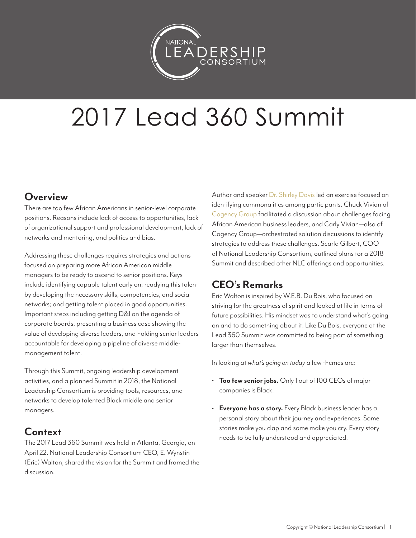

# 2017 Lead 360 Summit

## **Overview**

There are too few African Americans in senior-level corporate positions. Reasons include lack of access to opportunities, lack of organizational support and professional development, lack of networks and mentoring, and politics and bias.

Addressing these challenges requires strategies and actions focused on preparing more African American middle managers to be ready to ascend to senior positions. Keys include identifying capable talent early on; readying this talent by developing the necessary skills, competencies, and social networks; and getting talent placed in good opportunities. Important steps including getting D&I on the agenda of corporate boards, presenting a business case showing the value of developing diverse leaders, and holding senior leaders accountable for developing a pipeline of diverse middlemanagement talent.

Through this Summit, ongoing leadership development activities, and a planned Summit in 2018, the National Leadership Consortium is providing tools, resources, and networks to develop talented Black middle and senior managers.

## **Context**

The 2017 Lead 360 Summit was held in Atlanta, Georgia, on April 22. National Leadership Consortium CEO, E. Wynstin (Eric) Walton, shared the vision for the Summit and framed the discussion.

Author and speaker [Dr. Shirley Davis](http://drshirleydavis.com/) led an exercise focused on identifying commonalities among participants. Chuck Vivian of [Cogency Group](http://cogencygroup.com/) facilitated a discussion about challenges facing African American business leaders, and Carly Vivian—also of Cogency Group—orchestrated solution discussions to identify strategies to address these challenges. Scarla Gilbert, COO of National Leadership Consortium, outlined plans for a 2018 Summit and described other NLC offerings and opportunities.

# **CEO's Remarks**

Eric Walton is inspired by W.E.B. Du Bois, who focused on striving for the greatness of spirit and looked at life in terms of future possibilities. His mindset was to understand what's going on and to do something about it. Like Du Bois, everyone at the Lead 360 Summit was committed to being part of something larger than themselves.

In looking at *what's going on today* a few themes are:

- **Too few senior jobs.** Only 1 out of 100 CEOs of major companies is Black.
- **Everyone has a story.** Every Black business leader has a personal story about their journey and experiences. Some stories make you clap and some make you cry. Every story needs to be fully understood and appreciated.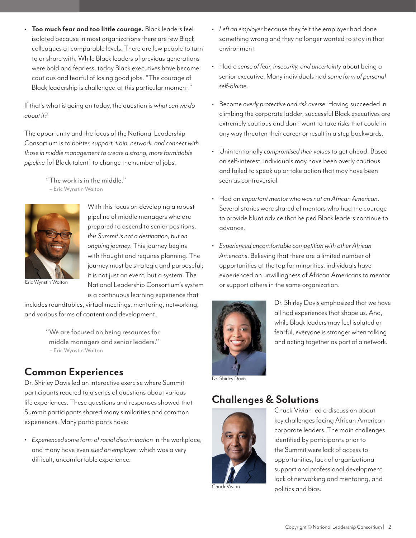• **Too much fear and too little courage.** Black leaders feel isolated because in most organizations there are few Black colleagues at comparable levels. There are few people to turn to or share with. While Black leaders of previous generations were bold and fearless, today Black executives have become cautious and fearful of losing good jobs. "The courage of Black leadership is challenged at this particular moment."

If that's what is going on today, the question is *what can we do about it*?

The opportunity and the focus of the National Leadership Consortium is to *bolster, support, train, network, and connect with those in middle management to create a strong, more formidable pipeline* [of Black talent] to change the number of jobs.

> "The work is in the middle." – Eric Wynstin Walton



With this focus on developing a robust pipeline of middle managers who are prepared to ascend to senior positions, *this Summit is not a destination, but an ongoing journey*. This journey begins with thought and requires planning. The journey must be strategic and purposeful; it is not just an event, but a system. The National Leadership Consortium's system is a continuous learning experience that

Eric Wynstin Walton

includes roundtables, virtual meetings, mentoring, networking, and various forms of content and development.

> "We are focused on being resources for middle managers and senior leaders." – Eric Wynstin Walton

## **Common Experiences**

Dr. Shirley Davis led an interactive exercise where Summit participants reacted to a series of questions about various life experiences. These questions and responses showed that Summit participants shared many similarities and common experiences. Many participants have:

• *Experienced some form of racial discrimination* in the workplace, and many have even *sued an employer*, which was a very difficult, uncomfortable experience.

- *Left an employer* because they felt the employer had done something wrong and they no longer wanted to stay in that environment.
- Had a *sense of fear, insecurity, and uncertainty* about being a senior executive. Many individuals had *some form of personal self-blame*.
- Become *overly protective and risk averse*. Having succeeded in climbing the corporate ladder, successful Black executives are extremely cautious and don't want to take risks that could in any way threaten their career or result in a step backwards.
- Unintentionally *compromised their values* to get ahead. Based on self-interest, individuals may have been overly cautious and failed to speak up or take action that may have been seen as controversial.
- Had an *important mentor who was not an African American*. Several stories were shared of mentors who had the courage to provide blunt advice that helped Black leaders continue to advance.
- *Experienced uncomfortable competition with other African Americans*. Believing that there are a limited number of opportunities at the top for minorities, individuals have experienced an unwillingness of African Americans to mentor or support others in the same organization.



Dr. Shirley Davis emphasized that we have all had experiences that shape us. And, while Black leaders may feel isolated or fearful, everyone is stronger when talking and acting together as part of a network.

Dr. Shirley Davis

## **Challenges & Solutions**



Chuck Vivian

Chuck Vivian led a discussion about key challenges facing African American corporate leaders. The main challenges identified by participants prior to the Summit were lack of access to opportunities, lack of organizational support and professional development, lack of networking and mentoring, and politics and bias.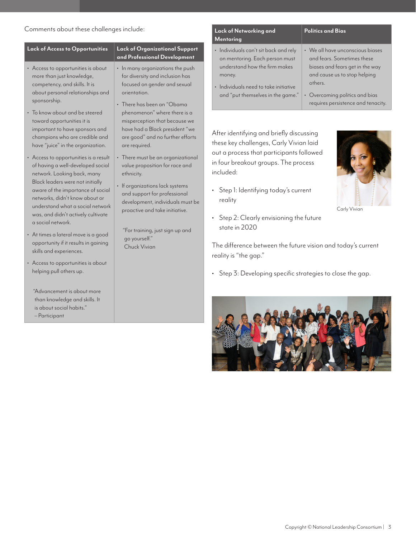## Comments about these challenges include:

– Participant

|                                                                                                                                                                                                                                    |                                                                                                                                                                                   | <b>Mentoring</b>                                                                                                                                  |                                                                                                                                                    |
|------------------------------------------------------------------------------------------------------------------------------------------------------------------------------------------------------------------------------------|-----------------------------------------------------------------------------------------------------------------------------------------------------------------------------------|---------------------------------------------------------------------------------------------------------------------------------------------------|----------------------------------------------------------------------------------------------------------------------------------------------------|
| <b>Lack of Access to Opportunities</b>                                                                                                                                                                                             | <b>Lack of Organizational Support</b><br>and Professional Development                                                                                                             | · Individuals can't sit back and rely<br>on mentoring. Each person must                                                                           | • We all have unconscious biases<br>and fears. Sometimes these                                                                                     |
| • Access to opportunities is about<br>more than just knowledge,<br>competency, and skills. It is<br>about personal relationships and<br>sponsorship.<br>• To know about and be steered<br>toward opportunities it is               | • In many organizations the push<br>for diversity and inclusion has<br>focused on gender and sexual<br>orientation.<br>• There has been an "Obama<br>phenomenon" where there is a | understand how the firm makes<br>money.<br>· Individuals need to take initiative<br>and "put themselves in the game."                             | biases and fears get in the way<br>and cause us to stop helping<br>others.<br>• Overcoming politics and bias<br>requires persistence and tenacity. |
| important to have sponsors and<br>champions who are credible and<br>have "juice" in the organization.                                                                                                                              | misperception that because we<br>have had a Black president "we<br>are good" and no further efforts<br>are required.                                                              | After identifying and briefly discussing<br>these key challenges, Carly Vivian laid                                                               |                                                                                                                                                    |
| • Access to opportunities is a result<br>of having a well-developed social<br>network. Looking back, many<br>ethnicity.<br>Black leaders were not initially<br>aware of the importance of social<br>networks, didn't know about or | • There must be an organizational<br>value proposition for race and<br>• If organizations lack systems<br>and support for professional<br>development, individuals must be        | out a process that participants followed<br>in four breakout groups. The process<br>included:<br>• Step 1: Identifying today's current<br>reality |                                                                                                                                                    |
| understand what a social network<br>was, and didn't actively cultivate                                                                                                                                                             | proactive and take initiative.                                                                                                                                                    | • Step 2: Clearly envisioning the future                                                                                                          | Carly Vivian                                                                                                                                       |
| a social network.<br>• At times a lateral move is a good<br>opportunity if it results in gaining<br>skills and experiences.                                                                                                        | "For training, just sign up and<br>go yourself."<br>Chuck Vivian                                                                                                                  | state in 2020<br>The difference between the future vision and today's current                                                                     |                                                                                                                                                    |
| • Access to opportunities is about<br>helping pull others up.                                                                                                                                                                      |                                                                                                                                                                                   | reality is "the gap."<br>• Step 3: Developing specific strategies to close the gap.                                                               |                                                                                                                                                    |
| "Advancement is about more<br>than knowledge and skills. It<br>is about social habits."                                                                                                                                            |                                                                                                                                                                                   | the the me                                                                                                                                        |                                                                                                                                                    |

**Lack of Networking and** 

**Politics and Bias**

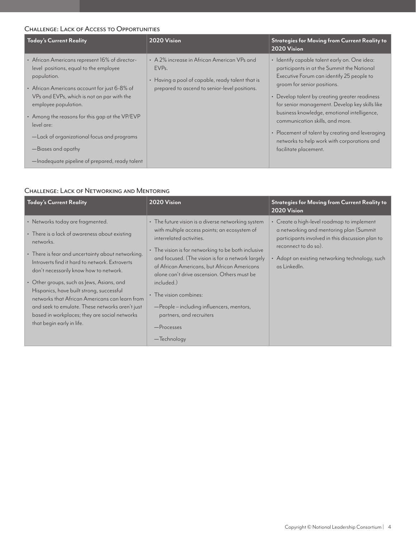### CHALLENGE: LACK OF ACCESS TO OPPORTUNITIES

| Today's Current Reality                                                                                                                                                                                                                                                                                                                                                                                             | 2020 Vision                                                                                                                                                          | <b>Strategies for Moving from Current Reality to</b><br>2020 Vision                                                                                                                                                                                                                                                                                                                                                                                                                       |
|---------------------------------------------------------------------------------------------------------------------------------------------------------------------------------------------------------------------------------------------------------------------------------------------------------------------------------------------------------------------------------------------------------------------|----------------------------------------------------------------------------------------------------------------------------------------------------------------------|-------------------------------------------------------------------------------------------------------------------------------------------------------------------------------------------------------------------------------------------------------------------------------------------------------------------------------------------------------------------------------------------------------------------------------------------------------------------------------------------|
| • African Americans represent 16% of director-<br>level positions, equal to the employee<br>population.<br>• African Americans account for just 6-8% of<br>VPs and EVPs, which is not on par with the<br>employee population.<br>• Among the reasons for this gap at the VP/EVP<br>level are:<br>-Lack of organizational focus and programs<br>-Biases and apathy<br>-Inadequate pipeline of prepared, ready talent | • A 2% increase in African American VPs and<br>EVP <sub>s</sub><br>• Having a pool of capable, ready talent that is<br>prepared to ascend to senior-level positions. | · Identify capable talent early on. One idea:<br>participants in at the Summit the National<br>Executive Forum can identify 25 people to<br>groom for senior positions.<br>• Develop talent by creating greater readiness<br>for senior management. Develop key skills like<br>business knowledge, emotional intelligence,<br>communication skills, and more.<br>• Placement of talent by creating and leveraging<br>networks to help work with corporations and<br>facilitate placement. |

#### CHALLENGE: LACK OF NETWORKING AND MENTORING

| Today's Current Reality                                                                                                                                                                                                                                                                                                                                                                                                                                                                                                     | 2020 Vision                                                                                                                                                                                                                                                                                                                                                                                                                                                                             | <b>Strategies for Moving from Current Reality to</b><br>$2020$ Vision                                                                                                                                                                |
|-----------------------------------------------------------------------------------------------------------------------------------------------------------------------------------------------------------------------------------------------------------------------------------------------------------------------------------------------------------------------------------------------------------------------------------------------------------------------------------------------------------------------------|-----------------------------------------------------------------------------------------------------------------------------------------------------------------------------------------------------------------------------------------------------------------------------------------------------------------------------------------------------------------------------------------------------------------------------------------------------------------------------------------|--------------------------------------------------------------------------------------------------------------------------------------------------------------------------------------------------------------------------------------|
| • Networks today are fragmented.<br>• There is a lack of awareness about existing<br>networks.<br>• There is fear and uncertainty about networking.<br>Introverts find it hard to network. Extroverts<br>don't necessarily know how to network.<br>• Other groups, such as Jews, Asians, and<br>Hispanics, have built strong, successful<br>networks that African Americans can learn from<br>and seek to emulate. These networks aren't just<br>based in workplaces; they are social networks<br>that begin early in life. | • The future vision is a diverse networking system<br>with multiple access points; an ecosystem of<br>interrelated activities.<br>• The vision is for networking to be both inclusive<br>and focused. (The vision is for a network largely<br>of African Americans, but African Americans<br>alone can't drive ascension. Others must be<br>included.)<br>• The vision combines:<br>-People - including influencers, mentors,<br>partners, and recruiters<br>-Processes<br>— Technology | • Create a high-level roadmap to implement<br>a networking and mentoring plan (Summit<br>participants involved in this discussion plan to<br>reconnect to do so).<br>• Adopt an existing networking technology, such<br>as Linkedln. |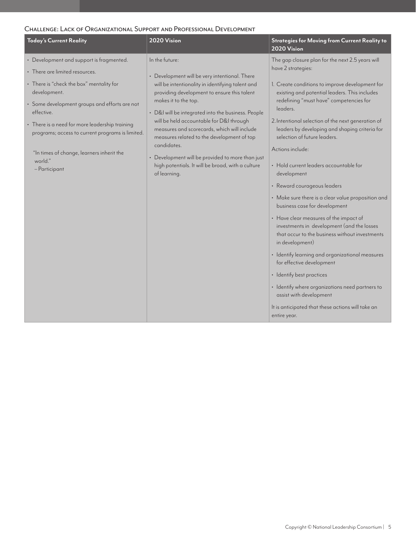#### CHALLENGE: LACK OF ORGANIZATIONAL SUPPORT AND PROFESSIONAL DEVELOPMENT

| <b>Today's Current Reality</b>                                                                                                                                                                                                                                                                                                                                                       | 2020 Vision                                                                                                                                                                                                                                                                                                                                                                                                                                                                                                                     | <b>Strategies for Moving from Current Reality to</b><br>2020 Vision                                                                                                                                                                                                                                                                                                                                                                                                                                                                                                                                                                                                                                                                                                                                                                                                                                                                                                                                       |
|--------------------------------------------------------------------------------------------------------------------------------------------------------------------------------------------------------------------------------------------------------------------------------------------------------------------------------------------------------------------------------------|---------------------------------------------------------------------------------------------------------------------------------------------------------------------------------------------------------------------------------------------------------------------------------------------------------------------------------------------------------------------------------------------------------------------------------------------------------------------------------------------------------------------------------|-----------------------------------------------------------------------------------------------------------------------------------------------------------------------------------------------------------------------------------------------------------------------------------------------------------------------------------------------------------------------------------------------------------------------------------------------------------------------------------------------------------------------------------------------------------------------------------------------------------------------------------------------------------------------------------------------------------------------------------------------------------------------------------------------------------------------------------------------------------------------------------------------------------------------------------------------------------------------------------------------------------|
| • Development and support is fragmented.<br>• There are limited resources.<br>• There is "check the box" mentality for<br>development.<br>· Some development groups and efforts are not<br>effective.<br>• There is a need for more leadership training<br>programs; access to current programs is limited.<br>"In times of change, learners inherit the<br>world."<br>- Participant | In the future:<br>• Development will be very intentional. There<br>will be intentionality in identifying talent and<br>providing development to ensure this talent<br>makes it to the top.<br>• D&I will be integrated into the business. People<br>will be held accountable for D&I through<br>measures and scorecards, which will include<br>measures related to the development of top<br>candidates.<br>Development will be provided to more than just<br>high potentials. It will be broad, with a culture<br>of learning. | The gap closure plan for the next 2.5 years will<br>have 2 strategies:<br>1. Create conditions to improve development for<br>existing and potential leaders. This includes<br>redefining "must have" competencies for<br>leaders.<br>2. Intentional selection of the next generation of<br>leaders by developing and shaping criteria for<br>selection of future leaders.<br>Actions include:<br>· Hold current leaders accountable for<br>development<br>• Reward courageous leaders<br>• Make sure there is a clear value proposition and<br>business case for development<br>• Have clear measures of the impact of<br>investments in development (and the losses<br>that occur to the business without investments<br>in development)<br>· Identify learning and organizational measures<br>for effective development<br>• Identify best practices<br>· Identify where organizations need partners to<br>assist with development<br>It is anticipated that these actions will take an<br>entire year. |